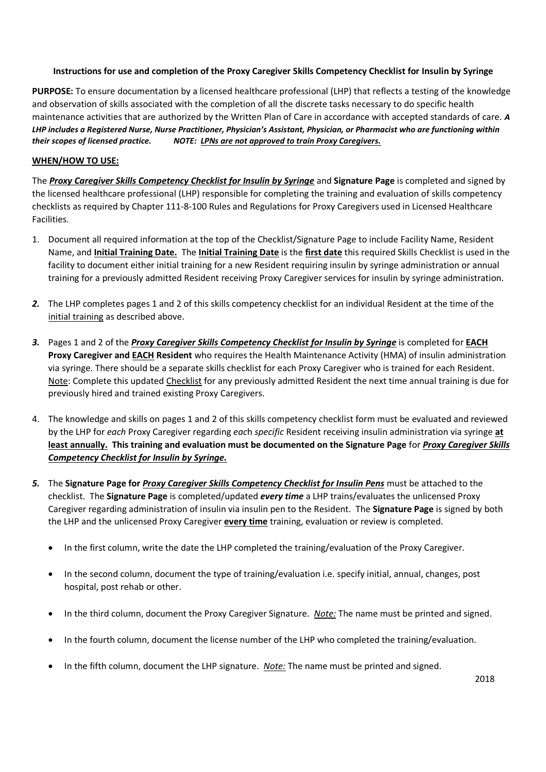### **Instructions for use and completion of the Proxy Caregiver Skills Competency Checklist for Insulin by Syringe**

**PURPOSE:** To ensure documentation by a licensed healthcare professional (LHP) that reflects a testing of the knowledge and observation of skills associated with the completion of all the discrete tasks necessary to do specific health maintenance activities that are authorized by the Written Plan of Care in accordance with accepted standards of care. *A LHP includes a Registered Nurse, Nurse Practitioner, Physician's Assistant, Physician, or Pharmacist who are functioning within their scopes of licensed practice. NOTE: LPNs are not approved to train Proxy Caregivers.*

### **WHEN/HOW TO USE:**

The *Proxy Caregiver Skills Competency Checklist for Insulin by Syringe* and **Signature Page** is completed and signed by the licensed healthcare professional (LHP) responsible for completing the training and evaluation of skills competency checklists as required by Chapter 111-8-100 Rules and Regulations for Proxy Caregivers used in Licensed Healthcare Facilities.

- 1. Document all required information at the top of the Checklist/Signature Page to include Facility Name, Resident Name, and **Initial Training Date.** The **Initial Training Date** is the **first date** this required Skills Checklist is used in the facility to document either initial training for a new Resident requiring insulin by syringe administration or annual training for a previously admitted Resident receiving Proxy Caregiver services for insulin by syringe administration.
- *2.* The LHP completes pages 1 and 2 of this skills competency checklist for an individual Resident at the time of the initial training as described above.
- *3.* Pages 1 and 2 of the *Proxy Caregiver Skills Competency Checklist for Insulin by Syringe* is completed for **EACH Proxy Caregiver and EACH Resident** who requires the Health Maintenance Activity (HMA) of insulin administration via syringe. There should be a separate skills checklist for each Proxy Caregiver who is trained for each Resident. Note: Complete this updated Checklist for any previously admitted Resident the next time annual training is due for previously hired and trained existing Proxy Caregivers.
- 4. The knowledge and skills on pages 1 and 2 of this skills competency checklist form must be evaluated and reviewed by the LHP for *each* Proxy Caregiver regarding *eac*h *specific* Resident receiving insulin administration via syringe **at least annually. This training and evaluation must be documented on the Signature Page** for *Proxy Caregiver Skills Competency Checklist for Insulin by Syringe.*
- *5.* The **Signature Page for** *Proxy Caregiver Skills Competency Checklist for Insulin Pens* must be attached to the checklist. The **Signature Page** is completed/updated *every time* a LHP trains/evaluates the unlicensed Proxy Caregiver regarding administration of insulin via insulin pen to the Resident. The **Signature Page** is signed by both the LHP and the unlicensed Proxy Caregiver **every time** training, evaluation or review is completed.
	- In the first column, write the date the LHP completed the training/evaluation of the Proxy Caregiver.
	- In the second column, document the type of training/evaluation i.e. specify initial, annual, changes, post hospital, post rehab or other.
	- In the third column, document the Proxy Caregiver Signature. *Note:* The name must be printed and signed.
	- In the fourth column, document the license number of the LHP who completed the training/evaluation.
	- In the fifth column, document the LHP signature. *Note:* The name must be printed and signed.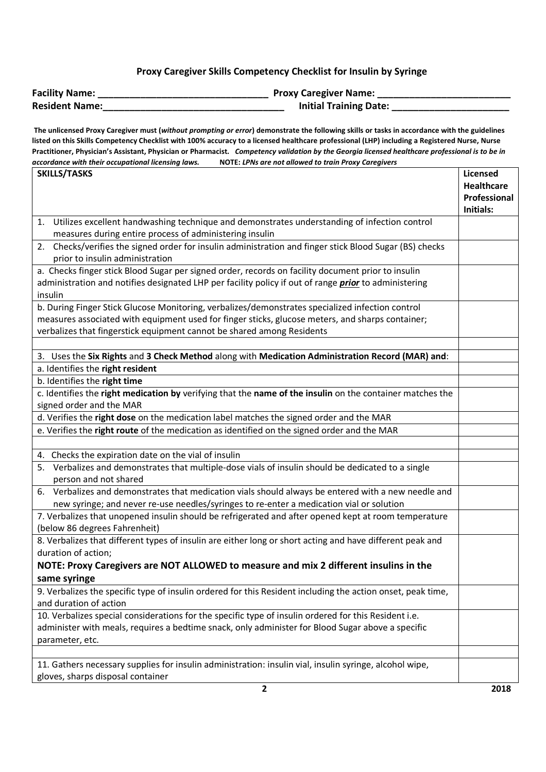## **Proxy Caregiver Skills Competency Checklist for Insulin by Syringe**

| <b>Facility Name:</b> | <b>Proxy Caregiver Name:</b>  |
|-----------------------|-------------------------------|
| <b>Resident Name:</b> | <b>Initial Training Date:</b> |

**The unlicensed Proxy Caregiver must (***without prompting or error***) demonstrate the following skills or tasks in accordance with the guidelines listed on this Skills Competency Checklist with 100% accuracy to a licensed healthcare professional (LHP) including a Registered Nurse, Nurse Practitioner, Physician's Assistant, Physician or Pharmacist.** *Competency validation by the Georgia licensed healthcare professional is to be in accordance with their occupational licensing laws.* **NOTE:** *LPNs are not allowed to train Proxy Caregivers*

| <b>SKILLS/TASKS</b>                                                                                                                                                                             | <b>Licensed</b><br><b>Healthcare</b><br>Professional |
|-------------------------------------------------------------------------------------------------------------------------------------------------------------------------------------------------|------------------------------------------------------|
|                                                                                                                                                                                                 | Initials:                                            |
| Utilizes excellent handwashing technique and demonstrates understanding of infection control<br>1.<br>measures during entire process of administering insulin                                   |                                                      |
| 2. Checks/verifies the signed order for insulin administration and finger stick Blood Sugar (BS) checks<br>prior to insulin administration                                                      |                                                      |
| a. Checks finger stick Blood Sugar per signed order, records on facility document prior to insulin                                                                                              |                                                      |
| administration and notifies designated LHP per facility policy if out of range <i>prior</i> to administering<br>insulin                                                                         |                                                      |
| b. During Finger Stick Glucose Monitoring, verbalizes/demonstrates specialized infection control                                                                                                |                                                      |
| measures associated with equipment used for finger sticks, glucose meters, and sharps container;                                                                                                |                                                      |
| verbalizes that fingerstick equipment cannot be shared among Residents                                                                                                                          |                                                      |
| 3. Uses the Six Rights and 3 Check Method along with Medication Administration Record (MAR) and:                                                                                                |                                                      |
| a. Identifies the right resident                                                                                                                                                                |                                                      |
| b. Identifies the right time                                                                                                                                                                    |                                                      |
| c. Identifies the right medication by verifying that the name of the insulin on the container matches the                                                                                       |                                                      |
| signed order and the MAR                                                                                                                                                                        |                                                      |
| d. Verifies the right dose on the medication label matches the signed order and the MAR                                                                                                         |                                                      |
| e. Verifies the right route of the medication as identified on the signed order and the MAR                                                                                                     |                                                      |
|                                                                                                                                                                                                 |                                                      |
| 4. Checks the expiration date on the vial of insulin                                                                                                                                            |                                                      |
| 5. Verbalizes and demonstrates that multiple-dose vials of insulin should be dedicated to a single<br>person and not shared                                                                     |                                                      |
| 6. Verbalizes and demonstrates that medication vials should always be entered with a new needle and<br>new syringe; and never re-use needles/syringes to re-enter a medication vial or solution |                                                      |
| 7. Verbalizes that unopened insulin should be refrigerated and after opened kept at room temperature<br>(below 86 degrees Fahrenheit)                                                           |                                                      |
| 8. Verbalizes that different types of insulin are either long or short acting and have different peak and                                                                                       |                                                      |
| duration of action;                                                                                                                                                                             |                                                      |
| NOTE: Proxy Caregivers are NOT ALLOWED to measure and mix 2 different insulins in the<br>same syringe                                                                                           |                                                      |
| 9. Verbalizes the specific type of insulin ordered for this Resident including the action onset, peak time,                                                                                     |                                                      |
| and duration of action                                                                                                                                                                          |                                                      |
| 10. Verbalizes special considerations for the specific type of insulin ordered for this Resident i.e.                                                                                           |                                                      |
| administer with meals, requires a bedtime snack, only administer for Blood Sugar above a specific                                                                                               |                                                      |
| parameter, etc.                                                                                                                                                                                 |                                                      |
|                                                                                                                                                                                                 |                                                      |
| 11. Gathers necessary supplies for insulin administration: insulin vial, insulin syringe, alcohol wipe,<br>gloves, sharps disposal container                                                    |                                                      |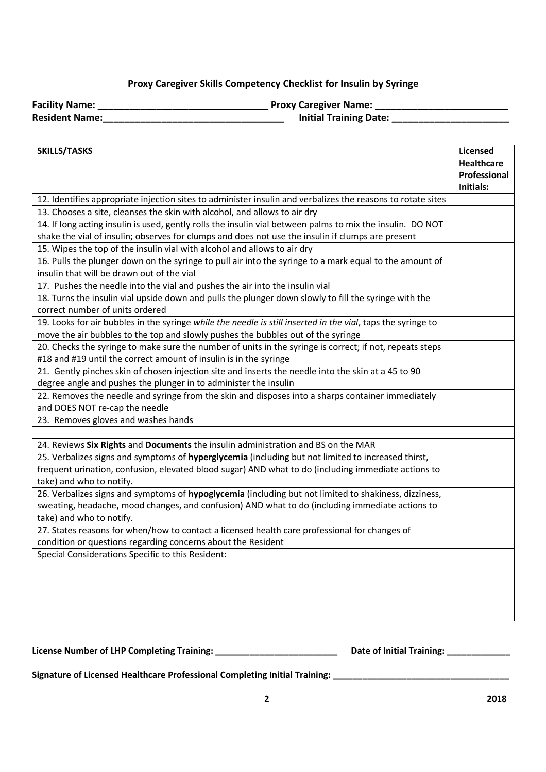# **Proxy Caregiver Skills Competency Checklist for Insulin by Syringe**

| <b>Facility Name:</b> | <b>Proxy Caregiver Name:</b>  |
|-----------------------|-------------------------------|
| <b>Resident Name:</b> | <b>Initial Training Date:</b> |

| SKILLS/TASKS                                                                                                 | Licensed          |
|--------------------------------------------------------------------------------------------------------------|-------------------|
|                                                                                                              | <b>Healthcare</b> |
|                                                                                                              | Professional      |
|                                                                                                              | Initials:         |
| 12. Identifies appropriate injection sites to administer insulin and verbalizes the reasons to rotate sites  |                   |
| 13. Chooses a site, cleanses the skin with alcohol, and allows to air dry                                    |                   |
| 14. If long acting insulin is used, gently rolls the insulin vial between palms to mix the insulin. DO NOT   |                   |
| shake the vial of insulin; observes for clumps and does not use the insulin if clumps are present            |                   |
| 15. Wipes the top of the insulin vial with alcohol and allows to air dry                                     |                   |
| 16. Pulls the plunger down on the syringe to pull air into the syringe to a mark equal to the amount of      |                   |
| insulin that will be drawn out of the vial                                                                   |                   |
| 17. Pushes the needle into the vial and pushes the air into the insulin vial                                 |                   |
| 18. Turns the insulin vial upside down and pulls the plunger down slowly to fill the syringe with the        |                   |
| correct number of units ordered                                                                              |                   |
| 19. Looks for air bubbles in the syringe while the needle is still inserted in the vial, taps the syringe to |                   |
| move the air bubbles to the top and slowly pushes the bubbles out of the syringe                             |                   |
| 20. Checks the syringe to make sure the number of units in the syringe is correct; if not, repeats steps     |                   |
| #18 and #19 until the correct amount of insulin is in the syringe                                            |                   |
| 21. Gently pinches skin of chosen injection site and inserts the needle into the skin at a 45 to 90          |                   |
| degree angle and pushes the plunger in to administer the insulin                                             |                   |
| 22. Removes the needle and syringe from the skin and disposes into a sharps container immediately            |                   |
| and DOES NOT re-cap the needle                                                                               |                   |
| 23. Removes gloves and washes hands                                                                          |                   |
|                                                                                                              |                   |
| 24. Reviews Six Rights and Documents the insulin administration and BS on the MAR                            |                   |
| 25. Verbalizes signs and symptoms of hyperglycemia (including but not limited to increased thirst,           |                   |
| frequent urination, confusion, elevated blood sugar) AND what to do (including immediate actions to          |                   |
| take) and who to notify.                                                                                     |                   |
| 26. Verbalizes signs and symptoms of hypoglycemia (including but not limited to shakiness, dizziness,        |                   |
| sweating, headache, mood changes, and confusion) AND what to do (including immediate actions to              |                   |
| take) and who to notify.                                                                                     |                   |
| 27. States reasons for when/how to contact a licensed health care professional for changes of                |                   |
| condition or questions regarding concerns about the Resident                                                 |                   |
| Special Considerations Specific to this Resident:                                                            |                   |
|                                                                                                              |                   |
|                                                                                                              |                   |
|                                                                                                              |                   |
|                                                                                                              |                   |
|                                                                                                              |                   |

**License Number of LHP Completing Training: \_\_\_\_\_\_\_\_\_\_\_\_\_\_\_\_\_\_\_\_\_\_\_\_\_ Date of Initial Training: \_\_\_\_\_\_\_\_\_\_\_\_\_**

**Signature of Licensed Healthcare Professional Completing Initial Training: \_\_\_\_\_\_\_\_\_\_\_\_\_\_\_\_\_\_\_\_\_\_\_\_\_\_\_\_\_\_\_\_\_\_\_\_**